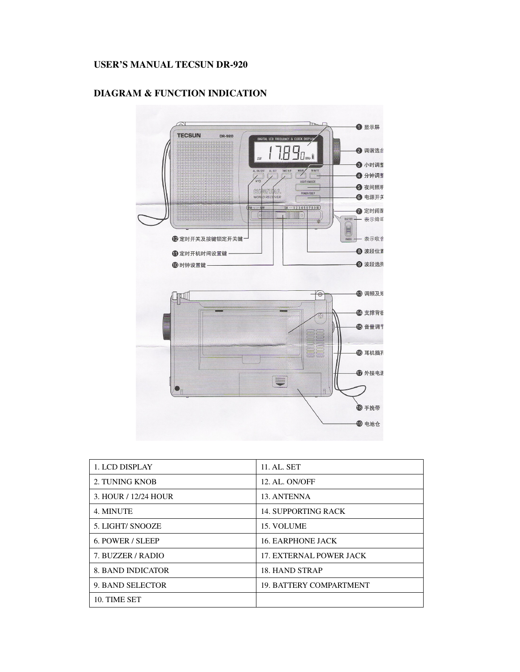# **USER'S MANUAL TECSUN DR-920**



# **DIAGRAM & FUNCTION INDICATION**

| 1. LCD DISPLAY           | 11. AL. SET                    |
|--------------------------|--------------------------------|
| 2. TUNING KNOB           | 12. AL. ON/OFF                 |
| 3. HOUR / 12/24 HOUR     | 13. ANTENNA                    |
| 4. MINUTE                | <b>14. SUPPORTING RACK</b>     |
| 5. LIGHT/ SNOOZE         | 15. VOLUME                     |
| 6. POWER / SLEEP         | <b>16. EARPHONE JACK</b>       |
| 7. BUZZER / RADIO        | <b>17. EXTERNAL POWER JACK</b> |
| <b>8. BAND INDICATOR</b> | 18. HAND STRAP                 |
| 9. BAND SELECTOR         | <b>19. BATTERY COMPARTMENT</b> |
| 10. TIME SET             |                                |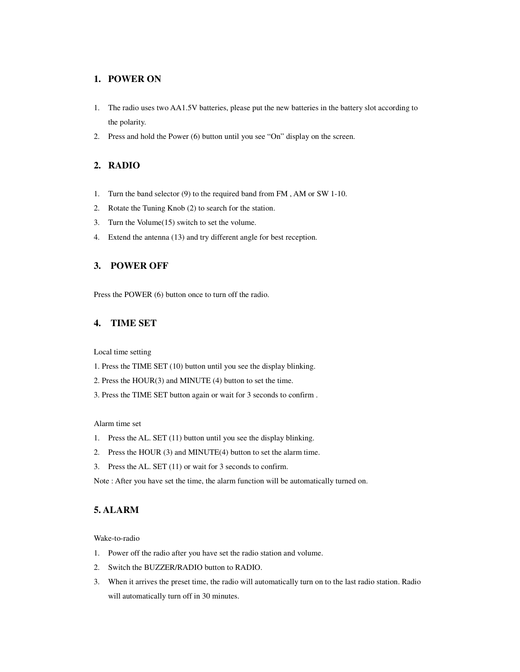### **1. POWER ON**

- 1. The radio uses two AA1.5V batteries, please put the new batteries in the battery slot according to the polarity.
- 2. Press and hold the Power (6) button until you see "On" display on the screen.

### **2. RADIO**

- 1. Turn the band selector (9) to the required band from FM , AM or SW 1-10.
- 2. Rotate the Tuning Knob (2) to search for the station.
- 3. Turn the Volume(15) switch to set the volume.
- 4. Extend the antenna (13) and try different angle for best reception.

## **3. POWER OFF**

Press the POWER (6) button once to turn off the radio.

### **4. TIME SET**

Local time setting

- 1. Press the TIME SET (10) button until you see the display blinking.
- 2. Press the HOUR(3) and MINUTE (4) button to set the time.
- 3. Press the TIME SET button again or wait for 3 seconds to confirm .

Alarm time set

- 1. Press the AL. SET (11) button until you see the display blinking.
- 2. Press the HOUR (3) and MINUTE(4) button to set the alarm time.
- 3. Press the AL. SET (11) or wait for 3 seconds to confirm.

Note : After you have set the time, the alarm function will be automatically turned on.

## **5. ALARM**

Wake-to-radio

- 1. Power off the radio after you have set the radio station and volume.
- 2. Switch the BUZZER/RADIO button to RADIO.
- 3. When it arrives the preset time, the radio will automatically turn on to the last radio station. Radio will automatically turn off in 30 minutes.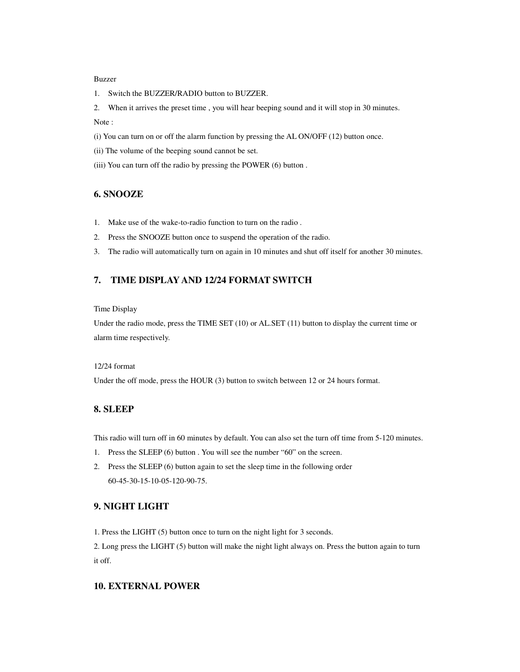#### Buzzer

1. Switch the BUZZER/RADIO button to BUZZER.

2. When it arrives the preset time , you will hear beeping sound and it will stop in 30 minutes. Note :

(i) You can turn on or off the alarm function by pressing the AL ON/OFF (12) button once.

- (ii) The volume of the beeping sound cannot be set.
- (iii) You can turn off the radio by pressing the POWER (6) button .

## **6. SNOOZE**

- 1. Make use of the wake-to-radio function to turn on the radio .
- 2. Press the SNOOZE button once to suspend the operation of the radio.
- 3. The radio will automatically turn on again in 10 minutes and shut off itself for another 30 minutes.

## **7. TIME DISPLAY AND 12/24 FORMAT SWITCH**

#### Time Display

Under the radio mode, press the TIME SET (10) or AL.SET (11) button to display the current time or alarm time respectively.

#### 12/24 format

Under the off mode, press the HOUR (3) button to switch between 12 or 24 hours format.

#### **8. SLEEP**

This radio will turn off in 60 minutes by default. You can also set the turn off time from 5-120 minutes.

- 1. Press the SLEEP (6) button . You will see the number "60" on the screen.
- 2. Press the SLEEP (6) button again to set the sleep time in the following order 60-45-30-15-10-05-120-90-75.

## **9. NIGHT LIGHT**

1. Press the LIGHT (5) button once to turn on the night light for 3 seconds.

2. Long press the LIGHT (5) button will make the night light always on. Press the button again to turn it off.

#### **10. EXTERNAL POWER**